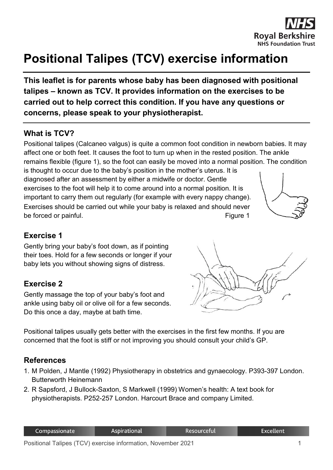

# **Positional Talipes (TCV) exercise information**

**This leaflet is for parents whose baby has been diagnosed with positional talipes – known as TCV. It provides information on the exercises to be carried out to help correct this condition. If you have any questions or concerns, please speak to your physiotherapist.**

### **What is TCV?**

Positional talipes (Calcaneo valgus) is quite a common foot condition in newborn babies. It may affect one or both feet. It causes the foot to turn up when in the rested position. The ankle remains flexible (figure 1), so the foot can easily be moved into a normal position. The condition

is thought to occur due to the baby's position in the mother's uterus. It is diagnosed after an assessment by either a midwife or doctor. Gentle exercises to the foot will help it to come around into a normal position. It is important to carry them out regularly (for example with every nappy change). Exercises should be carried out while your baby is relaxed and should never be forced or painful. The set of the set of the set of the set of the Figure 1



#### **Exercise 1**

Gently bring your baby's foot down, as if pointing their toes. Hold for a few seconds or longer if your baby lets you without showing signs of distress.

## **Exercise 2**

Gently massage the top of your baby's foot and ankle using baby oil or olive oil for a few seconds. Do this once a day, maybe at bath time.



Positional talipes usually gets better with the exercises in the first few months. If you are concerned that the foot is stiff or not improving you should consult your child's GP.

#### **References**

- 1. M Polden, J Mantle (1992) Physiotherapy in obstetrics and gynaecology. P393-397 London. Butterworth Heinemann
- 2. R Sapsford, J Bullock-Saxton, S Markwell (1999) Women's health: A text book for physiotherapists. P252-257 London. Harcourt Brace and company Limited.